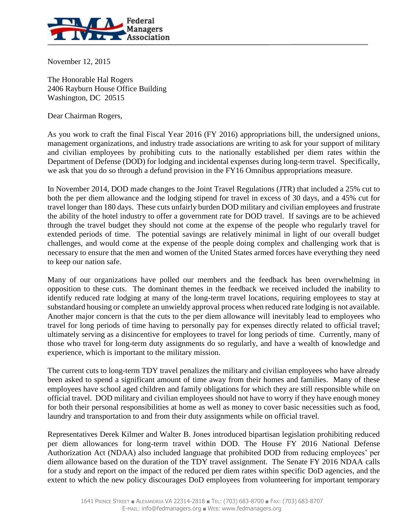

November 12, 2015

The Honorable Hal Rogers 2406 Rayburn House Office Building Washington, DC 20515

Dear Chairman Rogers,

As you work to craft the final Fiscal Year 2016 (FY 2016) appropriations bill, the undersigned unions, management organizations, and industry trade associations are writing to ask for your support of military and civilian employees by prohibiting cuts to the nationally established per diem rates within the Department of Defense (DOD) for lodging and incidental expenses during long-term travel. Specifically, we ask that you do so through a defund provision in the FY16 Omnibus appropriations measure.

In November 2014, DOD made changes to the Joint Travel Regulations (JTR) that included a 25% cut to both the per diem allowance and the lodging stipend for travel in excess of 30 days, and a 45% cut for travel longer than 180 days. These cuts unfairly burden DOD military and civilian employees and frustrate the ability of the hotel industry to offer a government rate for DOD travel. If savings are to be achieved through the travel budget they should not come at the expense of the people who regularly travel for extended periods of time. The potential savings are relatively minimal in light of our overall budget challenges, and would come at the expense of the people doing complex and challenging work that is necessary to ensure that the men and women of the United States armed forces have everything they need to keep our nation safe.

Many of our organizations have polled our members and the feedback has been overwhelming in opposition to these cuts. The dominant themes in the feedback we received included the inability to identify reduced rate lodging at many of the long-term travel locations, requiring employees to stay at substandard housing or complete an unwieldy approval process when reduced rate lodging is not available. Another major concern is that the cuts to the per diem allowance will inevitably lead to employees who travel for long periods of time having to personally pay for expenses directly related to official travel; ultimately serving as a disincentive for employees to travel for long periods of time. Currently, many of those who travel for long-term duty assignments do so regularly, and have a wealth of knowledge and experience, which is important to the military mission.

The current cuts to long-term TDY travel penalizes the military and civilian employees who have already been asked to spend a significant amount of time away from their homes and families. Many of these employees have school aged children and family obligations for which they are still responsible while on official travel. DOD military and civilian employees should not have to worry if they have enough money for both their personal responsibilities at home as well as money to cover basic necessities such as food, laundry and transportation to and from their duty assignments while on official travel.

Representatives Derek Kilmer and Walter B. Jones introduced bipartisan legislation prohibiting reduced per diem allowances for long-term travel within DOD. The House FY 2016 National Defense Authorization Act (NDAA) also included language that prohibited DOD from reducing employees' per diem allowance based on the duration of the TDY travel assignment. The Senate FY 2016 NDAA calls for a study and report on the impact of the reduced per diem rates within specific DoD agencies, and the extent to which the new policy discourages DoD employees from volunteering for important temporary